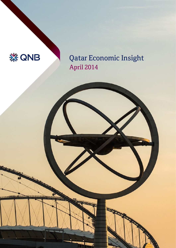

Qatar Economic Insight April 2014

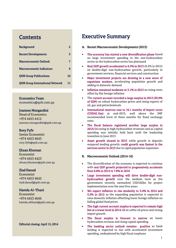## **Contents**

| <b>Background</b>                      | 2  |
|----------------------------------------|----|
| <b>Recent Developments</b>             | 3  |
| <b>Macroeconomic Outlook</b>           | 7  |
| <b>Macroeconomic Indicators</b>        | 9  |
| <b>QNB Group Publications</b>          | 10 |
| <b>QNB Group International Network</b> | 11 |

## Economics Team

[economics@qnb.com.qa](mailto:economics@qnb.com.qa)

## Joannes Mongardini

Head of Economics +974 4453 4412 [joannes.mongardini@qnb.com.qa](mailto:joannes.mongardini@qnb.com.qa)

## Rory Fyfe

Senior Economist +974 4453 4643 [rory.fyfe@qnb.com.qa](mailto:rory.fyfe@qnb.com.qa)

## Ehsan Khoman

Economist +974 4453 4423 [ehsan.khoman@qnb.com.qa](mailto:ehsan.khoman@qnb.com.qa)

## Ziad Daoud

Economist +974 4453 4642 [ziad.daoud@qnb.com.qa](mailto:ziad.daoud@qnb.com.qa)

## Hamda Al–Thani

Economist +974 4453 4646 [hamda.althani@qnb.com.qa](mailto:hamda.althani@qnb.com.qa)

## Editorial closing: April 15, 2014

# Executive Summary

- A. Recent Macroeconomic Developments (2013)
- The economy has started a new diversification phase based on large investment spending in the non-hydrocarbon sector as the hydrocarbon sector has plateaued
- Real GDP growth accelerated to 6.5% in 2013 (6.2% in 2012) on double-digit non-hydrocarbon growth, particularly in government services, financial services and construction
- Major investment projects are drawing in a new wave of expatriate workers, accelerating population growth and adding to domestic demand
- Inflation remained moderate at 3.1% in 2013 on rising rents offset by flat foreign inflation
- The current account recorded a large surplus in 2013 (30.9% of GDP) on robust hydrocarbon prices and rising exports of oil, gas and petrochemicals
- International reserves rose to 16.1 months of import cover (USD42.1bn) at end–2013, well above the IMF recommended level of three months for fixed exchange rates
- The fiscal balance registered another large surplus in 2013/14 owing to high hydrocarbon revenues and as capital spending was initially held back until the leadership transition in June 2013
- Asset growth slowed in 2013 while growth in deposits outpaced lending growth; credit growth was fastest in the services sector in 2013 due to rapid population expansion

## B. Macroeconomic Outlook (2014-16)

- The diversification of the economy is expected to continue with real GDP growth projected to progressively accelerate from 6.8% in 2014 to 7.8% in 2016
- Large investment spending will drive double-digit nonhydrocarbon growth over the medium term as the government recently earmarked USD182bn for project implementation over the next five years
- We expect inflation to rise modestly to 3.4% in 2014 and 3.5% in 2015 as the expanding population is expected to raise domestic inflation offsetting lower foreign inflation on falling global food prices
- The high current account surplus is expected to remain high but at a lower level in 2014-16 on softer oil prices and strong import growth
- The fiscal surplus is forecast to narrow on lower hydrocarbon revenue and rising capital spending
- The banking sector outlook remains positive as bank lending is expected to rise with accelerated investment spending, underpinned by high fiscal surpluses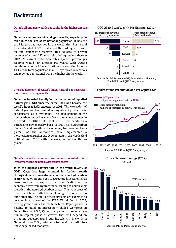# Background

#### Qatar's oil and gas wealth per capita is the highest in the world

Qatar has enormous oil and gas wealth, especially in relation to the size of its national population. It has the third largest gas reserves in the world after Russia and Iran, estimated at 885tn cubic feet (tcf). Along with crude oil and condensate reserves, this equates to proven reserves of around 193bn barrels of oil equivalent (boe) in 2012. At current extraction rates, Qatar's proven gas reserves would last another 160 years. With Qatar's population at only 1.8m and nationals accounting for only 14% of the total population in 2012, hydrocarbon reserves and revenue per national were the highest in the world.

#### The development of Qatar's huge natural gas reserves has driven its rising wealth

Qatar has invested heavily in the production of liquefied natural gas (LNG) since the early 1990s and became the world's largest LNG exporter in 2006. The extraction of natural gas has also resulted in a significant production of condensates as a byproduct. The development of the hydrocarbon sector has made Qatar the richest country in the world in 2012 at USD101k in GDP per capita on a purchasing power parity basis (PPP). This hydrocarbon phase of rapid growth in the economy has now reached a plateau as the authorities have implemented a moratorium on further gas development in the North Field until at least 2015 with the exception of the Barzan project.

#### Qatar's wealth creates enormous potential for investments in the non-hydrocarbon sector

With the highest savings rate in the world (60.8% of GDP), Qatar has large potential for further growth through domestic investments in the non-hydrocarbon sector. A major program of infrastructure investments has been launched to support the diversification of the economy away from hydrocarbons, leading to double digit growth in the non-hydrocarbon sector. The main areas of investment have shifted from oil and gas to construction and transport. The bulk of these projects are expected to be completed ahead of the FIFA World Cup in 2022, driving growth over the medium term. Rapid growth is helping to build an increasingly skilled workforce in Qatar. Beyond 2022, Qatar is expected to enter a new human capital phase of growth that will depend on attracting, developing and retaining talent. In line with its National Vision 2030, Qatar aims to transform itself into a knowledge-based economy.

## GCC Oil and Gas Wealth Per National (2012)



Sources: British Petroleum (BP), International Monetary Fund (IMF) and QNB Group analysis

#### Hydrocarbon Production and Per Capita GDP



Sources: BP, IMF and QNB Group analysis

Gross National Savings (2012) (% of GDP)

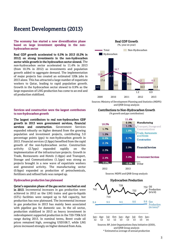# Recent Developments (2013)

The economy has started a new diversification phase based on large investment spending in the nonhydrocarbon sector

Real GDP growth accelerated to 6.5% in 2013 (6.2% in 2012) on strong investments in the non-hydrocarbon sector while growth in the hydrocarbon sector slowed. The non-hydrocarbon sector accelerated to 11.4% in 2013 (from 10.3% in 2012) as investments and population growth added to aggregate demand. The implementation of major projects has created an estimated 120k jobs in 2013 alone. This has attracted a large number of expatriate workers to Qatar, leading to rapid population growth. Growth in the hydrocarbon sector slowed to 0.9% as the large expansion of LNG production has come to an end and oil production stabilized.



Sources: Ministry of Development Planning and Statistics (MDPS) and QNB Group analysis

### Services and construction were the largest contributors to non-hydrocarbon growth

The largest contributors to real non-hydrocarbon GDP growth in 2013 were government services, financial services and construction. Government Services expanded robustly on higher demand from the growing population and investment projects, contributing 3.0 percentage points (pps) to non-hydrocarbon growth in 2013. Financial services (2.9pps) benefited from the rapid growth of the non-hydrocarbon sector. Construction activity (2.7pps) expanded rapidly on the implementation of the infrastructure projects. Growth in Trade, Restaurants and Hotels (1.8pps) and Transport, Storage and Communications (1.1pps) was strong as projects brought in a new wave of expatriate workers and generated activity. The manufacturing sector (0.9pps) expanded as production of petrochemicals, fertilizers and refined fuels was ramped up.

#### Hydrocarbon production has plateaued

Qatar's expansion phase of the gas sector reached an end in 2013. Incremental increases in gas production were achieved in 2012 as the LNG trains and gas-to-liquids (GTL) facilities were ramped up to full capacity, but production has now plateaued. The incremental increase in gas production in 2013 has mainly been associated with pipeline gas for domestic use. In the oil sector, production stabilized in 2013 as heavy investment in redevelopment supported production in the 720-730k b/d range during 2013. In nominal terms, Brent crude oil prices remained high, averaging USD108.7, while LNG prices increased strongly on higher demand from Asia.

#### Contributions to Non-Hydrocarbon Growth

(% growth and pps contribution)



Sources: MDPS and QNB Group analysis



\* Estimated as average of annual production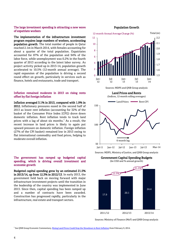#### The large investment spending is attracting a new wave of expatriate workers

The implementation of the infrastructure investment program requires large numbers of workers, accelerating population growth. The total number of people in Qatar reached 2.1m in March 2014, with females accounting for about a quarter of the total population. Expatriates accounted for 87% of the population and 94% of the labor force, while unemployment was 0.2% in the fourth quarter of 2013 according to the latest labor survey. As project activity picked up in 2013-14, population growth accelerated to 10.5% (12-month annual average). The rapid expansion of the population is driving a second round effect on growth, particularly in services such as finance, hotels and restaurants, trade and transport.

#### Inflation remained moderate in 2013 on rising rents offset by flat foreign inflation

Inflation averaged 3.1% in 2013, compared with 1.9% in 2012. Inflationary pressures eased in the second half of 2013 as lower rent inflation (accounting for 32% of the basket of the Consumer Price Index [CPI]) drove down domestic inflation. Rent inflation tends to track land prices with a lag of about six months. $<sup>1</sup>$  As a result, the</sup> recent increase in land prices is likely to again put upward pressure on domestic inflation. Foreign inflation (27% of the CPI basket) remained low in 2013 owing to flat international commodity and food prices, helping to moderate overall inflation.

### The government has ramped up budgeted capital spending, which is driving overall investment and economic growth

Budgeted capital spending grew by an estimated 21.5% in 2013/14, up from 12.3% in 2012/13. In early 2013, the government held back on moving forward with major infrastructure investment projects until the transition in the leadership of the country was implemented in June 2013. Since then, capital spending has been ramped up and a number of contracts have been awarded. Construction has progressed rapidly, particularly in the infrastructure, real estate and transport sectors.

### Population Growth





Sources: Ministry of Finance (MoF) and QNB Group analysis

<sup>1</sup> See QNB Group Economic Commentary[, Rising Land Prices Could Stop the Slowdown in Rent Inflation](http://www.qnb.com.qa/cs/Satellite?c=QNBNews_C&cid=1355403478367&locale=1338474029767&p=1344242846789&pagename=QNBQatar%2FQNBLayout) from February 9, 2014.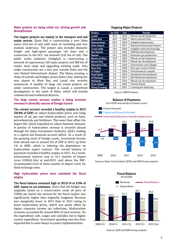#### Major projects are being rolled out, driving growth and diversification

The largest projects are mainly in the transport and real estate sectors. Qatar Rail is constructing a new Doha metro (216 km of rail) with work on tunneling and new stations underway. The project also includes domestic freight and high-speed passenger rail lines and a connection to the GCC rail network (510 km of rail). The public works authority (Ashghal) is constructing a network of expressways (30 major projects and 900 km of roads), local roads and upgrading existing roads. Also under construction are a new port outside Doha and the new Hamad International Airport. The Sharq crossing, a chain of tunnels and bridges across Doha's bay, linking the new airport to West Bay and Lusail was recently announced. A number of large real estate projects are under construction. The largest is Lusail, a waterfront development to the north of Doha, which will include commercial and residential districts.

### The large current account surplus is being invested overseas to diversify sources of foreign income

The current account recorded a healthy surplus in 2013 (30.9% of GDP) on robust hydrocarbon prices and rising exports of oil, gas and related products, such as fuels, petrochemicals and fertilizers. This more than offset the import bill, which expanded on robust domestic demand. A portion of hydrocarbon revenue is invested abroad through the Qatar Investment Authority (QIA), leading to a capital and financial account deficit. As a result of the growing stock of foreign assets, investment income from abroad rose to around 3% of GDP in 2013, up from 1% in 2009, which is reducing the dependence on hydrocarbon export revenue. The overall balance of payments recorded a healthy surplus in 2013. As a result, international reserves rose to 16.1 months of import cover (USD42.1bn) at end-2013, well above the IMFrecommended level of three months of import cover for fixed exchange rates.

#### High hydrocarbon prices have sustained the fiscal surplus

The fiscal balance remained high in 2013/14 at 9.9% of GDP, based on our estimates. Given that the budget was originally based on a conservative crude oil price of USD65 per barrel, the turnout for the fiscal surplus was significantly higher than originally budgeted. Revenue was marginally lower in 2013 than in 2012 owing to lower hydrocarbon prices, which was partly offset by higher corporate income tax collections. Hydrocarbon revenues accounted for around 80% of total revenue. On the expenditure side, wages and subsidies led to higher current expenditure. Investment spending rose less than expected due to some delays in project implementation.

#### Ongoing Major Projects

| Project               | bn USD | <b>End</b> | <b>Details</b>                     |  |  |  |  |  |
|-----------------------|--------|------------|------------------------------------|--|--|--|--|--|
| Lusail                | 45.0   | 2019       | Mixed-use development              |  |  |  |  |  |
| <b>Oatar Rail</b>     | 40.0   | 2026       | Metro and rail links               |  |  |  |  |  |
| <b>Expressways</b>    | 20.0   | 2018       | Ashghal expressways                |  |  |  |  |  |
| <b>New Airport</b>    | 15.5   | 2017       | <b>Hamad International Airport</b> |  |  |  |  |  |
| <b>Local roads</b>    | 14.6   | 2018       | Ashghal roads and drainage         |  |  |  |  |  |
| <b>Bul Hanine</b>     | 13.0   | 2022       | Oilfield redevelopment             |  |  |  |  |  |
| Barzan                | 10.3   | 2023       | Domestic gas production            |  |  |  |  |  |
| <b>Barwa Al Khor</b>  | 10.0   | 2025       | Mixed-use development              |  |  |  |  |  |
| <b>Barwa City</b>     | 8.3    | 2015       | Mixed-use development              |  |  |  |  |  |
| <b>Education City</b> | 7.5    | 2014       | Universities and colleges          |  |  |  |  |  |
| <b>New Port</b>       | 7.4    | 2020       | New port south of Doha             |  |  |  |  |  |
| Al Sajeel             | 7.4    | 2018       | Petrochemical complex              |  |  |  |  |  |
| <b>Pearl Qatar</b>    | 6.5    | 2016       | Residential development            |  |  |  |  |  |
| Al Karaana            | 6.4    | 2017       | QP/Shell petrochemicals            |  |  |  |  |  |
| <b>Msheireb</b>       | 5.5    | 2016       | Mixed-use development              |  |  |  |  |  |
| Oryx Island           | 5.5    | 2022       | Tourist island                     |  |  |  |  |  |
| <b>Sharq Crossing</b> | 5.0    | 2021       | Crossing for Doha bay              |  |  |  |  |  |

Source: MEED Projects

#### Balance of Payments

(% of GDP and months of import cover)



Sources: Qatar Central Bank (QCB) and QNB Group analysis

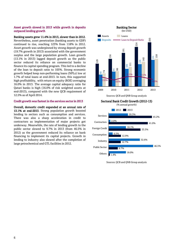#### Asset growth slowed in 2013 while growth in deposits outpaced lending growth

Banking assets grew 11.4% in 2013, slower than in 2012. Nevertheless, asset penetration (banking assets to GDP) continued to rise, reaching 123% from 118% in 2012. Asset growth was underpinned by strong deposit growth (19.7% growth in 2013) associated with the government surplus and the large population growth. Loan growth (13.1% in 2013) lagged deposit growth as the public sector reduced its reliance on commercial banks to finance its capital spending program. This led to a decline of the loan to deposit ratio to 105%. Strong economic growth helped keep non-performing loans (NPLs) low at 1.7% of total loans at end-2013. In turn, this supported high profitability, with return on equity (ROE) averaging 16.0% in 2013. The average capital adequacy ratio for Qatari banks is high (16.0% of risk weighted assets at end-2013), compared with the new QCB requirement of 12.5% as of April 2014.

#### Credit growth was fastest in the services sector in 2013

Overall, domestic credit expanded at an annual rate of 13.1% at end-2013. Strong population growth boosted lending to sectors such as consumption and services. There was also a sharp acceleration in credit to contractors as implementation of major projects got underway. Meanwhile, the rate of lending growth to the public sector slowed to 9.7% in 2013 (from 46.5% in 2012) as the government reduced its reliance on bank financing to implement its capital projects. Growth in lending to industry also slowed after the completion of large petrochemical and GTL facilities in 2012.





Sources: QCB and QNB Group analysis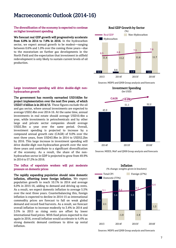# Macroeconomic Outlook (2014-16)

### The diversification of the economy is expected to continue on higher investment spending

We forecast real GDP growth will progressively accelerate from 6.8% in 2014 to 7.8% in 2016. In the hydrocarbon sector, we expect annual growth to be modest—ranging between 0.6% and 1.0% over the coming three years—due to the moratorium on further gas developments in the North Field and the expectation that investment in oilfield redevelopment is only likely to sustain current levels of oil production.

### Large investment spending will drive double-digit nonhydrocarbon growth

The government has recently earmarked USD182bn for project implementation over the next five years, of which USD27.4 billion is in 2014/15. These figures exclude the oil and gas sector, where annual investments are expected to average USD2.4bn over 2014-16. At the same time, annual investments in real estate should average USD10.4bn a year, while investments in petrochemicals and by other large and private sector companies should average USD2.3bn a year over the same period. Overall, investment spending is projected to increase by a compound annual growth rate (CAGR) of 9.0% over the next three years, from USD43.9bn in 2014 to USD52.2bn by 2016. This large increase in investment spending will drive double-digit non-hydrocarbon growth over the next three years and contribute to a significant diversification of the economy. As a result, the share of the nonhydrocarbon sector in GDP is projected to grow from 49.9% in 2014 to 57.2% in 2016.

### The influx of expatriate workers will put moderate pressure on domestic prices

The rapidly expanding population should raise domestic inflation, offsetting lower foreign inflation. We expect population growth to reach 10.1% in 2014 and average 6.0% in 2015-16, adding to demand and driving up rents. As a result, we expect domestic inflation to average 5.5% over the next three years. Counterbalancing this, foreign inflation is expected to decline in 2014-15 as international commodity prices are forecast to fall on weak global demand and record food harvests. As a result, we forecast overall inflation to increase modestly to 3.4% in 2014 and 3.5% in 2015 as rising rents are offset by lower international food prices. With food prices expected to rise again in 2016, overall inflation would accelerate to 4.4% as strong domestic demand continues to drive up rental inflation.



Sources: MDPS and QNB Group analysis and forecasts



Sources: MEED, MoF and QNB Group analysis and forecasts



Sources: MDPS and QNB Group analysis and forecasts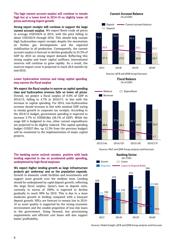### The high current account surplus will continue to remain high but at a lower level in 2014-16 on slightly lower oil prices and strong import growth

Strong export receipts will continue to support the large current account surplus. We expect Brent crude oil prices to average USD104/b in 2014, with the price falling to about USD102/b through 2016. This should help sustain high hydrocarbon export receipts despite the moratorium on further gas developments and the expected stabilization in oil production. Consequently, the current account surplus is forecast to decline gradually to 25.3% of GDP by 2016 on strong import demand. Reflecting this strong surplus and lower capital outflows, international reserves will continue to grow rapidly. As a result, the reserves import cover is projected to reach 20.6 months by end-2016.

## Lower hydrocarbon revenue and rising capital spending may narrow the fiscal surplus

We expect the fiscal surplus to narrow as capital spending rises and hydrocarbon revenue falls on lower oil prices. Overall, we project a fiscal surplus of 9.6% of GDP in 2014/15, falling to 4.7% in 2016/17, in line with the increase in capital spending. For 2014, non-hydrocarbon revenue should increase in line with nominal GDP owing to steady growth in corporate tax receipts. According to the 2014/15 budget, government spending is expected to increase 3.7% to USD60.0bn (28.1% of GDP). While the wage bill is budgeted to rise, other current expenditures are projected to be slightly reduced. The capital spending budget (USD27.4bn, up 12.3% from the previous budget) will be reoriented to the implementation of major capital projects.

## The banking sector outlook remains positive with bank lending expected to rise on accelerated public spending, underpinned by high fiscal surpluses

We expect higher lending growth as large infrastructure projects get underway and as the population expands. Growth in domestic credit facilities and investments will support asset growth over the medium term. Lending should be underpinned by rapid deposit growth, reflecting the large fiscal surplus. Qatar's loan to deposit ratio, currently in excess of 100%, is expected to decline gradually to reach 99% by 2016. This is due to a more moderate growth in lending compared with a buoyant deposit growth. NPLs are forecast to remain low in 2014- 16 as asset quality is supported by the strong economic environment and the sizable proportion of low-risk loans to the government. Going forward, low provisioning requirements and efficient cost bases will also support banks' profitability.



Sources: QCB and QNB Group forecasts

Fiscal Balance (% of GDP)



Sources: MoF and QNB Group analysis and forecasts



Sources: Global Insight, QCB and QNB Group analysis and forecasts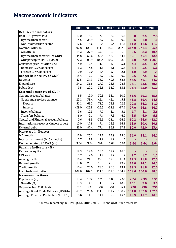# Macroeconomic Indicators

|                                       | 2009    | 2010    | 2011    | 2012    | 2013    |         | 2014f 2015f 2016f |         |
|---------------------------------------|---------|---------|---------|---------|---------|---------|-------------------|---------|
| <b>Real sector indicators</b>         |         |         |         |         |         |         |                   |         |
| Real GDP growth (%)                   | 12.0    | 16.7    | 13.0    | 6.2     | 6.5     | 6.8     | 7.5               | 7.8     |
| Hydrocarbon sector                    | 4.5     | 28.9    | 15.7    | 1.2     | 0.9     | 0.6     | 1.0               | 1.0     |
| Non-hydrocarbon sector                | 17.6    | 8.6     | 10.8    | 10.3    | 11.4    | 11.2    | 11.6              | 11.7    |
| Nominal GDP (bn USD)                  | 97.8    | 125.1   | 171.5   | 189.9   | 202.5   | 213.9   | 231.4             | 255.4   |
| Growth (%)                            | $-15.2$ | 27.9    | 37.0    | 10.8    | 6.6     | 5.6     | 8.2               | 10.4    |
| Hydrocarbon sector (% of GDP)         | 44.8    | 52.6    | 59.3    | 56.8    | 54.4    | 50.1    | 46.4              | 42.8    |
| GDP per capita (PPP, k USD)           | 77.2    | 90.9    | 100.4   | 100.9   | 98.8    | 97.0    | 97.9              | 100.1   |
| Consumer price inflation (%)          | $-4.9$  | $-2.4$  | 1.9     | 1.9     | 3.1     | 3.4     | 3.5               | 4.4     |
| Domestic (73% of basket)              | $-6.2$  | $-3.8$  | 1.1     | 1.1     | 3.5     | 5.4     | 5.5               | 5.6     |
| Foreign (27% of basket)               | $-0.9$  | 2.0     | 4.5     | 3.9     | 2.1     | $-1.9$  | $-1.9$            | 1.3     |
| Budget balance (% of GDP)             | 13.4    | 2.7     | 7.7     | 11.9    | 9.9     | 9.6     | 7.5               | 4.7     |
| Revenue                               | 47.5    | 34.3    | 35.7    | 40.5    | 38.5    | 37.6    | 36.1              | 34.0    |
| Expenditure                           | 34.2    | 31.6    | 27.9    | 28.5    | 28.6    | 28.1    | 28.6              | 29.3    |
| Public debt                           | 9.5     | 29.2    | 32.3    | 35.9    | 33.1    | 25.4    | 23.9              | 23.0    |
| External sector (% of GDP)            |         |         |         |         |         |         |                   |         |
| Current account balance               | 6.5     | 19.0    | 30.3    | 32.4    | 30.9    | 32.6    | 29.2              | 25.3    |
| Goods and services balance            | 22.1    | 38.4    | 45.4    | 46.4    | 45.2    | 43.8    | 39.4              | 34.3    |
| Exports                               | 51.1    | 62.2    | 71.0    | 75.2    | 72.5    | 70.8    | 66.2              | 61.0    |
| Imports                               | $-29.0$ | $-23.8$ | $-25.5$ | $-28.8$ | $-27.4$ | $-27.0$ | $-26.8$           | $-26.7$ |
| Income balance                        | $-9.6$  | $-10.3$ | $-7.7$  | $-6.4$  | $-5.4$  | $-4.7$  | $-4.1$            | $-3.6$  |
| Transfers balance                     | $-6.0$  | $-9.1$  | $-7.4$  | $-7.6$  | $-6.9$  | $-6.5$  | $-6.0$            | $-5.5$  |
| Capital and Financial account balance | 0.6     | $-8.5$  | $-36.5$ | $-23.4$ | $-26.9$ | $-30.2$ | $-26.6$           | $-22.7$ |
| International reserves (import cover) | 10.0    | 17.8    | 7.4     | 12.9    | 16.1    | 18.9    | 20.4              | 20.6    |
| External debt                         | 82.0    | 87.4    | 77.4    | 86.2    | 87.9    | 80.0    | 72.0              | 63.4    |
| <b>Monetary indicators</b>            |         |         |         |         |         |         |                   |         |
| M2 growth                             | 16.9    | 23.1    | 17.1    | 22.9    | 19.6    | 14.0    | 14.1              | 14.1    |
| Interbank interest (%, 3 months)      | 1.7     | 1.8     | 1.2     | 1.2     | 1.3     |         |                   |         |
| Exchange rate USD:QAR (av)            | 3.64    | 3.64    | 3.64    | 3.64    | 3.64    | 3.64    | 3.64              | 3.64    |
| <b>Banking indicators (%)</b>         |         |         |         |         |         |         |                   |         |
| Return on equity                      | 19.3    | 19.9    | 18.6    | 17.7    | 16.0    |         | ۰                 |         |
| NPL ratio                             | 1.7     | 2.0     | 1.7     | 1.7     | 1.7     | 1.7     | 1.7               | 1.7     |
| Asset growth                          | 16.4    | 21.3    | 22.3    | 17.6    | 11.4    | 11.5    | 11.8              | 12.0    |
| Deposit growth                        | 13.6    | 28.3    | 18.5    | 26.0    | 19.7    | 14.0    | 14.1              | 14.1    |
| Credit growth                         | 10.4    | 20.0    | 28.3    | 26.0    | 13.1    | 11.5    | 11.8              | 12.0    |
| Loan to deposit ratio                 | 109.6   | 102.5   | 111.0   | 111.0   | 104.9   | 102.6   | 100.6             | 98.7    |
| Memorandum items                      |         |         |         |         |         |         |                   |         |
| Population (m)                        | 1.64    | 1.72    | 1.73    | 1.83    | 2.03    | 2.24    | 2.39              | 2.51    |
| Growth (%)                            | 13.3    | 4.7     | $1.0$   | 5.7     | 10.9    | 10.1    | 7.0               | 5.0     |
| Oil production ('000 bpd)             | 781     | 733     | 734     | 734     | 724     | 730     | 730               | 730     |
| Average Brent Crude Oil Price (USD/b) | 61.7    | 79.6    | 111.0   | 111.7   | 108.7   | 104.0   | 102.0             | 102.0   |
| Average Raw Gas Production (bn cf/d)  | 8.6     | 11.3    | 14.1    | 15.2    | 15.3    | 15.3    | 15.7              | 16.1    |

Sources: Bloomberg, BP, IMF, JODI, MDPS, MoF, QCB and QNB Group forecasts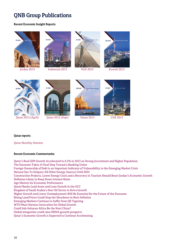# QNB Group Publications

## Recent Economic Insight Reports





[Jordan 2014](http://www.qnb.com.qa/cs/Satellite?blobcol=urldata&blobheader=application%2Fpdf&blobkey=id&blobtable=MungoBlobs&blobwhere=1355497062439&ssbinary=true) [Indonesia 2013](http://www.qnb.com.qa/cs/Satellite?blobcol=urldata&blobheader=application%2Fpdf&blobkey=id&blobtable=MungoBlobs&blobwhere=1355496379586&ssbinary=true) [KSA 2013](http://www.qnb.com.qa/cs/Satellite?blobcol=urldata&blobheader=application%2Fpdf&blobkey=id&blobtable=MungoBlobs&blobwhere=1355496376636&ssbinary=true) [Kuwait 2013](http://www.qnb.com.qa/cs/Satellite?blobcol=urldata&blobheader=application%2Fpdf&blobkey=id&blobtable=MungoBlobs&blobwhere=1355496375574&ssbinary=true)



**终 QNB** 





**袋 QNE** 





## Qatar reports

[Qatar Monthly Monitor](http://www.qnb.com.qa/cs/Satellite/QNBQatar/en_QA/InvestorRelations/enQatarMonthlyMonitor)

## Recent Economic Commentaries

[Qatar's Real GDP Growth Accelerated to 6.5% in 2013 on Strong Investment and Higher Population](http://www.qnb.com.qa/cs/Satellite?c=QNBNews_C&cid=1355403705125&locale=1338474029767&p=1344242846789&pagename=QNBQatar%2FQNBLayout) [The Eurozone Takes A Final Step Toward a Banking Union](http://www.qnb.com.qa/cs/Satellite?c=QNBNews_C&cid=1355403684258&locale=1338474029767&p=1344242846789&pagename=QNBQatar%2FQNBLayout) [Foreign Ownership of Debt is an Important Indicator of Vulnerability to the Emerging Market Crisis](http://www.qnb.com.qa/cs/Satellite?c=QNBNews_C&cid=1355403676021&locale=1338474029767&p=1344242846789&pagename=QNBQatar%2FQNBLayout) [Natural Gas To Outpace All Other Energy Sources Until 2035](http://www.qnb.com.qa/cs/Satellite?c=QNBNews_C&cid=1355403666693&locale=1338474029767&p=1344242846789&pagename=QNBQatar%2FQNBLayout) [Construction Projects, Lower Energy Costs and a Recovery in Tourism Shou](http://www.qnb.com.qa/cs/Satellite?c=QNBNews_C&cid=1355403593600&locale=1338474029767&p=1344242846789&pagename=QNBQatar%2FQNBLayout)ld Boost Jordan's Economic Growth [Deflation Likely to Keep Down Interest Rates](http://www.qnb.com.qa/cs/Satellite?c=QNBNews_C&cid=1355403588152&locale=1338474029767&p=1344242846789&pagename=QNBQatar%2FQNBLayout) [Age Matters for Economic Performance](http://www.qnb.com.qa/cs/Satellite?c=QNBNews_C&cid=1355403556269&locale=1338474029767&p=1344242846789&pagename=QNBQatar%2FQNBLayout) [Qatari Banks Lead Asset and Loan Growth in the GCC](http://www.qnb.com.qa/cs/Satellite?c=QNBNews_C&cid=1355403543781&locale=1338474029767&p=1344242846789&pagename=QNBQatar%2FQNBLayout) Kingdom of Saudi Arabia's Non[-Oil Sector to Drive Growth](http://www.qnb.com.qa/cs/Satellite?c=QNBNews_C&cid=1355403514807&locale=1338474029767&p=1344242846789&pagename=QNBQatar%2FQNBLayout) [Higher Growth and Lower Unemployment Will Be Essential for the Future of the Eurozone](http://www.qnb.com.qa/cs/Satellite?c=QNBNews_C&cid=1355403512645&locale=1338474029767&p=1344242846789&pagename=QNBQatar%2FQNBLayout) [Rising Land Prices Could Stop the Slowdown in Rent Inflation](http://www.qnb.com.qa/cs/Satellite?c=QNBNews_C&cid=1355403478367&locale=1338474029767&p=1344242846789&pagename=QNBQatar%2FQNBLayout) [Emerging Markets Continue to Suffer from QE Tapering](http://www.qnb.com.qa/cs/Satellite?c=QNBNews_C&cid=1355403461729&locale=1338474029767&p=1344242846789&pagename=QNBQatar%2FQNBLayout) [WTO Must Harness Innovation for Global Growth](http://www.qnb.com.qa/cs/Satellite?c=QNBNews_C&cid=1355403447058&locale=1338474029767&p=1344242846789&pagename=QNBQatar%2FQNBLayout) [Could Sub-Saharan Africa Be the Next China?](http://www.qnb.com.qa/cs/Satellite?c=QNBNews_C&cid=1355403425334&locale=1338474029767&p=1344242846789&pagename=QNBQatar%2FQNBLayout) [Global integration could raise MENA growth prospects](http://www.qnb.com.qa/cs/Satellite?c=QNBNews_C&cid=1355403420365&locale=1338474029767&p=1344242846789&pagename=QNBQatar%2FQNBLayout) [Qatar's Economic Growth is Expected to Continue Accelerating](http://www.qnb.com.qa/cs/Satellite?c=QNBNews_C&cid=1355403413357&locale=1338474029767&p=1344242846789&pagename=QNBQatar%2FQNBLayout)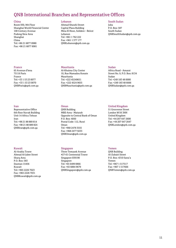## QNB International Branches and Representative Offices

#### China

Room 930, 9th Floor Shanghai World Financial Center 100 Century Avenue Pudong New Area Shanghai China Tel: +86 21 6877 8980 Fax: +86 21 6877 8981

#### Lebanon

Ahmad Shawki Street Capital Plaza Building Mina El Hosn, Solidere – Beirut Lebanon Tel: +961 1 762 222 Fax: +961 1 377 177 [QNBLebanon@qnb.com.qa](mailto:QNBLebanon@qnb.com.qa)

#### South Sudan

Juba P.O. Box: 587 South Sudan [QNBSouthSudan@qnb.com.qa](mailto:QNBSouthSudan@qnb.com.qa)

#### Mauritania

Oman

Al-Khaima City Center 10, Rue Mamadou Konate Mauritania Tel: +222 45249651 Fax: +222 4524 9655 [QNBMauritania@qnb.com.qa](mailto:QNBMauritania@qnb.com.qa)

### Sudan

Africa Road - Amarat Street No. 9, P.O. Box: 8134 Sudan Tel: +249 183 48 0000 Fax: +249 183 48 6666 [QNBSudan@qnb.com.qa](mailto:QNBSudan@qnb.com.qa)

#### Iran

France

65 Avenue d'lena 75116 Paris France

Tel: +33 1 53 23 0077 Fax: +33 1 53 23 0070 [QNBParis@qnb.com.qa](mailto:QNBParis@qnb.com.qa)

Representative Office 6th floor Navak Building Unit 14 Africa Tehran Iran Tel: +98 21 88 889 814 Fax: +98 21 88 889 824 [QNBIran@qnb.com.qa](mailto:QNBIran@qnb.com.qa)

#### Kuwait

Al-Arabia Tower Ahmad Al-Jaber Street Sharq Area P.O. Box: 583 Dasman 15456 Kuwait Tel: +965 2226 7023 Fax: +965 2226 7031 [QNBKuwait@qnb.com.qa](mailto:QNBKuwait@qnb.com.qa)

QNB Building MBD Area - Matarah Opposite to Central Bank of Oman P.O. Box: 4050 Postal Code: 112, Ruwi Oman Tel: +968 2478 3555 Fax: +968 2477 9233 [QNBOman@qnb.com.qa](mailto:QNBOman@qnb.com.qa)

#### Singapore

Three Temasek Avenue #27-01 Centennial Tower Singapore 039190 Singapore Tel: +65 6499 0866 Fax: +65 6884 9679 [QNBSingapore@qnb.com.qa](mailto:QNBSingapore@qnb.com.qa)

#### United Kingdom

51 Grosvenor Street London W1K 3HH United Kingdom Tel: +44 207 647 2600 Fax: +44 207 647 2647 [QNBLondon@qnb.com.qa](mailto:QNBLondon@qnb.com.qa)

#### Yemen

QNB Building Al-Zubairi Street P.O. Box: 4310 Sana'a Yemen Tel: +967 1 517517 Fax: +967 1 517666 [QNBYemen@qnb.com.qa](mailto:QNBYemen@qnb.com.qa)